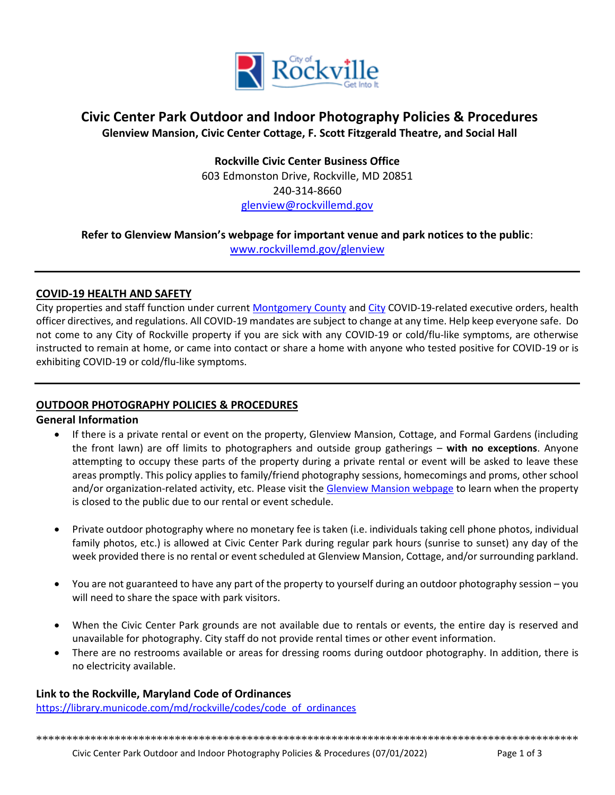

# **Civic Center Park Outdoor and Indoor Photography Policies & Procedures Glenview Mansion, Civic Center Cottage, F. Scott Fitzgerald Theatre, and Social Hall**

**Rockville Civic Center Business Office** 603 Edmonston Drive, Rockville, MD 20851 240-314-8660 [glenview@rockvillemd.gov](mailto:glenview@rockvillemd.gov)

# **Refer to Glenview Mansion's webpage for important venue and park notices to the public**:

[www.rockvillemd.gov/glenview](http://www.rockvillemd.gov/glenview)

### **COVID-19 HEALTH AND SAFETY**

City properties and staff function under curren[t Montgomery County](https://www.montgomerycountymd.gov/covid19/index.html) an[d City](https://www.rockvillemd.gov/2315/COVID-19-Closures-and-Cancellations) COVID-19-related executive orders, health officer directives, and regulations. All COVID-19 mandates are subject to change at any time. Help keep everyone safe. Do not come to any City of Rockville property if you are sick with any COVID-19 or cold/flu-like symptoms, are otherwise instructed to remain at home, or came into contact or share a home with anyone who tested positive for COVID-19 or is exhibiting COVID-19 or cold/flu-like symptoms.

## **OUTDOOR PHOTOGRAPHY POLICIES & PROCEDURES**

## **General Information**

- If there is a private rental or event on the property, Glenview Mansion, Cottage, and Formal Gardens (including the front lawn) are off limits to photographers and outside group gatherings – **with no exceptions**. Anyone attempting to occupy these parts of the property during a private rental or event will be asked to leave these areas promptly. This policy applies to family/friend photography sessions, homecomings and proms, other school and/or organization-related activity, etc. Please visit the [Glenview Mansion webpage](http://www.rockvillemd.gov/glenview) to learn when the property is closed to the public due to our rental or event schedule.
- Private outdoor photography where no monetary fee is taken (i.e. individuals taking cell phone photos, individual family photos, etc.) is allowed at Civic Center Park during regular park hours (sunrise to sunset) any day of the week provided there is no rental or event scheduled at Glenview Mansion, Cottage, and/or surrounding parkland.
- You are not guaranteed to have any part of the property to yourself during an outdoor photography session you will need to share the space with park visitors.
- When the Civic Center Park grounds are not available due to rentals or events, the entire day is reserved and unavailable for photography. City staff do not provide rental times or other event information.
- There are no restrooms available or areas for dressing rooms during outdoor photography. In addition, there is no electricity available.

## **Link to the Rockville, Maryland Code of Ordinances**

[https://library.municode.com/md/rockville/codes/code\\_of\\_ordinances](https://library.municode.com/md/rockville/codes/code_of_ordinances)

\*\*\*\*\*\*\*\*\*\*\*\*\*\*\*\*\*\*\*\*\*\*\*\*\*\*\*\*\*\*\*\*\*\*\*\*\*\*\*\*\*\*\*\*\*\*\*\*\*\*\*\*\*\*\*\*\*\*\*\*\*\*\*\*\*\*\*\*\*\*\*\*\*\*\*\*\*\*\*\*\*\*\*\*\*\*\*\*\*\*

Civic Center Park Outdoor and Indoor Photography Policies & Procedures (07/01/2022) Page 1 of 3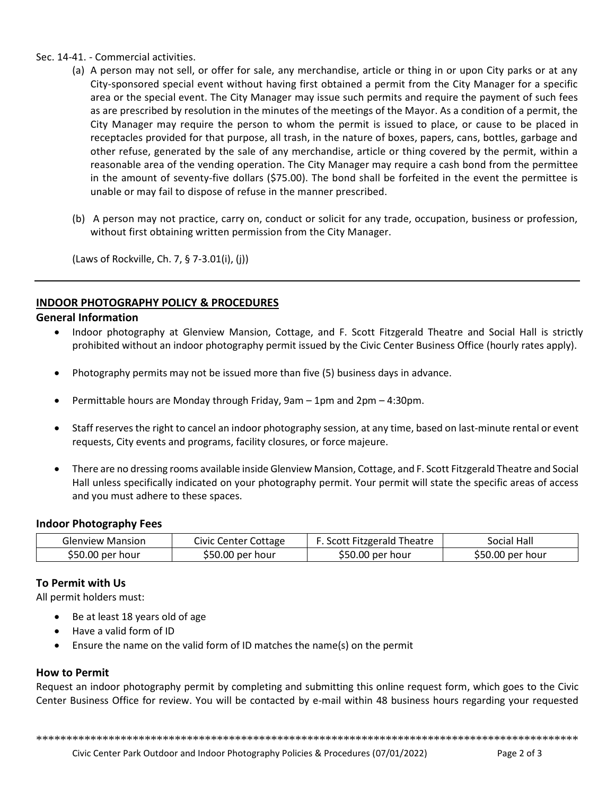Sec. 14-41. - Commercial activities.

- (a) A person may not sell, or offer for sale, any merchandise, article or thing in or upon City parks or at any City-sponsored special event without having first obtained a permit from the City Manager for a specific area or the special event. The City Manager may issue such permits and require the payment of such fees as are prescribed by resolution in the minutes of the meetings of the Mayor. As a condition of a permit, the City Manager may require the person to whom the permit is issued to place, or cause to be placed in receptacles provided for that purpose, all trash, in the nature of boxes, papers, cans, bottles, garbage and other refuse, generated by the sale of any merchandise, article or thing covered by the permit, within a reasonable area of the vending operation. The City Manager may require a cash bond from the permittee in the amount of seventy-five dollars (\$75.00). The bond shall be forfeited in the event the permittee is unable or may fail to dispose of refuse in the manner prescribed.
- (b) A person may not practice, carry on, conduct or solicit for any trade, occupation, business or profession, without first obtaining written permission from the City Manager.

(Laws of Rockville, Ch. 7, § 7-3.01(i), (j))

### **INDOOR PHOTOGRAPHY POLICY & PROCEDURES**

#### **General Information**

- Indoor photography at Glenview Mansion, Cottage, and F. Scott Fitzgerald Theatre and Social Hall is strictly prohibited without an indoor photography permit issued by the Civic Center Business Office (hourly rates apply).
- Photography permits may not be issued more than five (5) business days in advance.
- Permittable hours are Monday through Friday, 9am 1pm and 2pm 4:30pm.
- Staff reserves the right to cancel an indoor photography session, at any time, based on last-minute rental or event requests, City events and programs, facility closures, or force majeure.
- There are no dressing rooms available inside Glenview Mansion, Cottage, and F. Scott Fitzgerald Theatre and Social Hall unless specifically indicated on your photography permit. Your permit will state the specific areas of access and you must adhere to these spaces.

#### **Indoor Photography Fees**

| <b>Glenview Mansion</b> | Civic Center Cottage | F. Scott Fitzgerald Theatre | Social Hall      |
|-------------------------|----------------------|-----------------------------|------------------|
| \$50.00 per hour        | \$50.00 per hour     | \$50.00 per hour            | \$50.00 per hour |

#### **To Permit with Us**

All permit holders must:

- Be at least 18 years old of age
- Have a valid form of ID
- Ensure the name on the valid form of ID matches the name(s) on the permit

#### **How to Permit**

Request an indoor photography permit by completing and submitting this online request form, which goes to the Civic Center Business Office for review. You will be contacted by e-mail within 48 business hours regarding your requested

\*\*\*\*\*\*\*\*\*\*\*\*\*\*\*\*\*\*\*\*\*\*\*\*\*\*\*\*\*\*\*\*\*\*\*\*\*\*\*\*\*\*\*\*\*\*\*\*\*\*\*\*\*\*\*\*\*\*\*\*\*\*\*\*\*\*\*\*\*\*\*\*\*\*\*\*\*\*\*\*\*\*\*\*\*\*\*\*\*\*